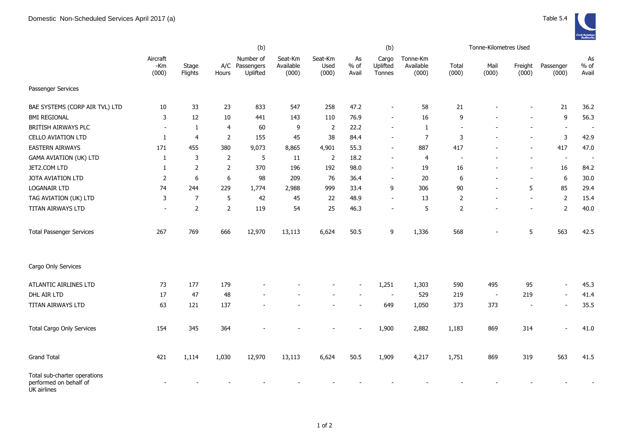|                                                                       |                          |                  |                | (b)                                     |                               |                          | (b)                   |                             |                                |                | Tonne-Kilometres Used    |                          |                          |                          |
|-----------------------------------------------------------------------|--------------------------|------------------|----------------|-----------------------------------------|-------------------------------|--------------------------|-----------------------|-----------------------------|--------------------------------|----------------|--------------------------|--------------------------|--------------------------|--------------------------|
|                                                                       | Aircraft<br>-Km<br>(000) | Stage<br>Flights | Hours          | Number of<br>A/C Passengers<br>Uplifted | Seat-Km<br>Available<br>(000) | Seat-Km<br>Used<br>(000) | As<br>$%$ of<br>Avail | Cargo<br>Uplifted<br>Tonnes | Tonne-Km<br>Available<br>(000) | Total<br>(000) | Mail<br>(000)            | Freight<br>(000)         | Passenger<br>(000)       | As<br>$%$ of<br>Avail    |
| Passenger Services                                                    |                          |                  |                |                                         |                               |                          |                       |                             |                                |                |                          |                          |                          |                          |
| BAE SYSTEMS (CORP AIR TVL) LTD                                        | 10                       | 33               | 23             | 833                                     | 547                           | 258                      | 47.2                  |                             | 58                             | 21             |                          |                          | 21                       | 36.2                     |
| <b>BMI REGIONAL</b>                                                   | 3                        | 12               | 10             | 441                                     | 143                           | 110                      | 76.9                  | $\sim$                      | 16                             | 9              |                          |                          | 9                        | 56.3                     |
| BRITISH AIRWAYS PLC                                                   | $\overline{\phantom{a}}$ | $\mathbf{1}$     | $\overline{4}$ | 60                                      | 9                             | $\overline{2}$           | 22.2                  |                             | 1                              |                |                          |                          | $\overline{\phantom{a}}$ | $\sim$                   |
| <b>CELLO AVIATION LTD</b>                                             | 1                        | $\overline{4}$   | $\overline{2}$ | 155                                     | 45                            | 38                       | 84.4                  |                             | $\overline{7}$                 | 3              |                          |                          | 3                        | 42.9                     |
| <b>EASTERN AIRWAYS</b>                                                | 171                      | 455              | 380            | 9,073                                   | 8,865                         | 4,901                    | 55.3                  | $\overline{\phantom{a}}$    | 887                            | 417            |                          |                          | 417                      | 47.0                     |
| <b>GAMA AVIATION (UK) LTD</b>                                         | 1                        | 3                | $\overline{2}$ | 5                                       | 11                            | $\overline{2}$           | 18.2                  |                             | 4                              | Ĭ.             |                          |                          | $\overline{\phantom{a}}$ | $\overline{\phantom{a}}$ |
| JET2.COM LTD                                                          | 1                        | $\overline{2}$   | $\overline{2}$ | 370                                     | 196                           | 192                      | 98.0                  | $\overline{\phantom{a}}$    | 19                             | 16             |                          | $\overline{\phantom{a}}$ | 16                       | 84.2                     |
| JOTA AVIATION LTD                                                     | $\overline{2}$           | 6                | 6              | 98                                      | 209                           | 76                       | 36.4                  | $\blacksquare$              | $20\,$                         | 6              |                          | $\sim$                   | 6                        | 30.0                     |
| LOGANAIR LTD                                                          | 74                       | 244              | 229            | 1,774                                   | 2,988                         | 999                      | 33.4                  | 9                           | 306                            | 90             |                          | 5                        | 85                       | 29.4                     |
| TAG AVIATION (UK) LTD                                                 | 3                        | $\overline{7}$   | 5              | 42                                      | 45                            | 22                       | 48.9                  | $\overline{\phantom{a}}$    | 13                             | 2              |                          | $\overline{\phantom{a}}$ | $\overline{2}$           | 15.4                     |
| TITAN AIRWAYS LTD                                                     | $\blacksquare$           | $\overline{2}$   | $\overline{2}$ | 119                                     | 54                            | 25                       | 46.3                  | $\overline{\phantom{a}}$    | 5                              | $\overline{2}$ |                          | $\overline{\phantom{a}}$ | $\overline{2}$           | 40.0                     |
| <b>Total Passenger Services</b>                                       | 267                      | 769              | 666            | 12,970                                  | 13,113                        | 6,624                    | 50.5                  | 9                           | 1,336                          | 568            |                          | 5                        | 563                      | 42.5                     |
| Cargo Only Services                                                   |                          |                  |                |                                         |                               |                          |                       |                             |                                |                |                          |                          |                          |                          |
| ATLANTIC AIRLINES LTD                                                 | 73                       | 177              | 179            |                                         |                               |                          |                       | 1,251                       | 1,303                          | 590            | 495                      | 95                       | $\blacksquare$           | 45.3                     |
| DHL AIR LTD                                                           | 17                       | 47               | 48             |                                         |                               |                          |                       |                             | 529                            | 219            | $\overline{\phantom{a}}$ | 219                      | $\sim$                   | 41.4                     |
| TITAN AIRWAYS LTD                                                     | 63                       | 121              | 137            |                                         |                               |                          |                       | 649                         | 1,050                          | 373            | 373                      | $\overline{\phantom{a}}$ | $\overline{\phantom{a}}$ | 35.5                     |
| <b>Total Cargo Only Services</b>                                      | 154                      | 345              | 364            |                                         |                               |                          |                       | 1,900                       | 2,882                          | 1,183          | 869                      | 314                      |                          | 41.0                     |
| <b>Grand Total</b>                                                    | 421                      | 1,114            | 1,030          | 12,970                                  | 13,113                        | 6,624                    | 50.5                  | 1,909                       | 4,217                          | 1,751          | 869                      | 319                      | 563                      | 41.5                     |
| Total sub-charter operations<br>performed on behalf of<br>UK airlines |                          |                  |                |                                         |                               |                          |                       |                             |                                |                |                          |                          |                          |                          |